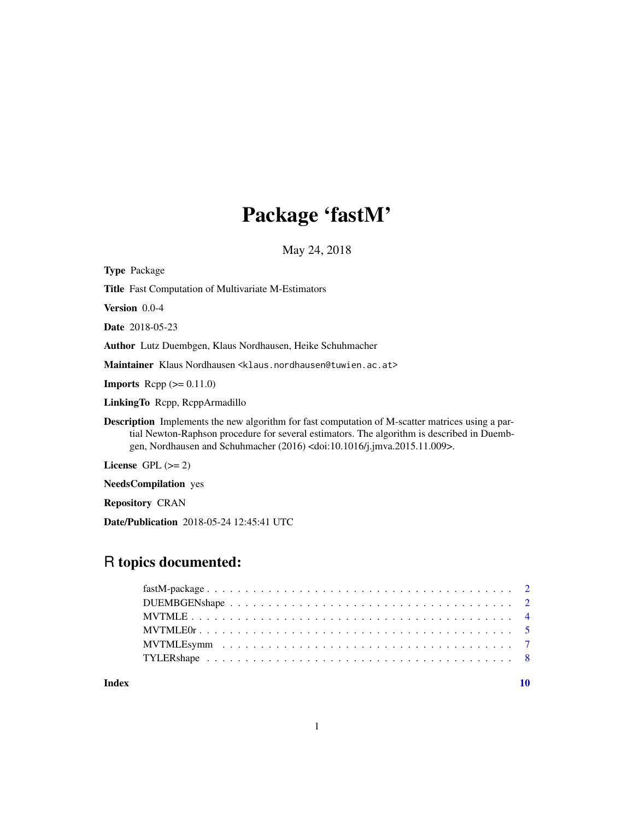# Package 'fastM'

May 24, 2018

<span id="page-0-0"></span>

| <b>Type Package</b>                                                                                                                                                                                                                                                                                |
|----------------------------------------------------------------------------------------------------------------------------------------------------------------------------------------------------------------------------------------------------------------------------------------------------|
| <b>Title</b> Fast Computation of Multivariate M-Estimators                                                                                                                                                                                                                                         |
| <b>Version</b> $0.0-4$                                                                                                                                                                                                                                                                             |
| <b>Date</b> 2018-05-23                                                                                                                                                                                                                                                                             |
| <b>Author</b> Lutz Duembgen, Klaus Nordhausen, Heike Schuhmacher                                                                                                                                                                                                                                   |
| Maintainer Klaus Nordhausen <klaus.nordhausen@tuwien.ac.at></klaus.nordhausen@tuwien.ac.at>                                                                                                                                                                                                        |
| <b>Imports</b> Repp $(>= 0.11.0)$                                                                                                                                                                                                                                                                  |
| Linking To Repp, ReppArmadillo                                                                                                                                                                                                                                                                     |
| <b>Description</b> Implements the new algorithm for fast computation of M-scatter matrices using a par-<br>tial Newton-Raphson procedure for several estimators. The algorithm is described in Duemb-<br>gen, Nordhausen and Schuhmacher (2016) <doi:10.1016 j.jmva.2015.11.009="">.</doi:10.1016> |
| License $GPL (= 2)$                                                                                                                                                                                                                                                                                |
| <b>NeedsCompilation</b> yes                                                                                                                                                                                                                                                                        |
|                                                                                                                                                                                                                                                                                                    |

Repository CRAN

Date/Publication 2018-05-24 12:45:41 UTC

# R topics documented:

 $\blacksquare$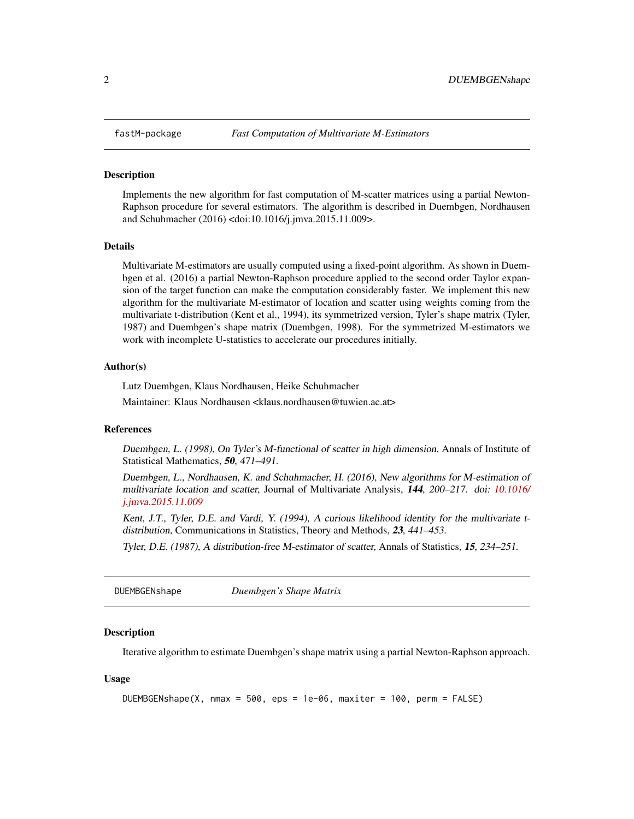<span id="page-1-0"></span>

#### **Description**

Implements the new algorithm for fast computation of M-scatter matrices using a partial Newton-Raphson procedure for several estimators. The algorithm is described in Duembgen, Nordhausen and Schuhmacher (2016) <doi:10.1016/j.jmva.2015.11.009>.

#### Details

Multivariate M-estimators are usually computed using a fixed-point algorithm. As shown in Duembgen et al. (2016) a partial Newton-Raphson procedure applied to the second order Taylor expansion of the target function can make the computation considerably faster. We implement this new algorithm for the multivariate M-estimator of location and scatter using weights coming from the multivariate t-distribution (Kent et al., 1994), its symmetrized version, Tyler's shape matrix (Tyler, 1987) and Duembgen's shape matrix (Duembgen, 1998). For the symmetrized M-estimators we work with incomplete U-statistics to accelerate our procedures initially.

#### Author(s)

Lutz Duembgen, Klaus Nordhausen, Heike Schuhmacher

Maintainer: Klaus Nordhausen <klaus.nordhausen@tuwien.ac.at>

#### References

Duembgen, L. (1998), On Tyler's M-functional of scatter in high dimension, Annals of Institute of Statistical Mathematics, 50, 471–491.

Duembgen, L., Nordhausen, K. and Schuhmacher, H. (2016), New algorithms for M-estimation of multivariate location and scatter, Journal of Multivariate Analysis, 144, 200–217. doi: [10.1016/](https://doi.org/10.1016/j.jmva.2015.11.009) [j.jmva.2015.11.009](https://doi.org/10.1016/j.jmva.2015.11.009)

Kent, J.T., Tyler, D.E. and Vardi, Y. (1994), A curious likelihood identity for the multivariate tdistribution, Communications in Statistics, Theory and Methods, 23, 441–453.

Tyler, D.E. (1987), A distribution-free M-estimator of scatter, Annals of Statistics, 15, 234–251.

DUEMBGENshape *Duembgen's Shape Matrix*

#### **Description**

Iterative algorithm to estimate Duembgen's shape matrix using a partial Newton-Raphson approach.

#### Usage

```
DUEMBGENshape(X, nmax = 500, eps = 1e-06, maxiter = 100, perm = FALSE)
```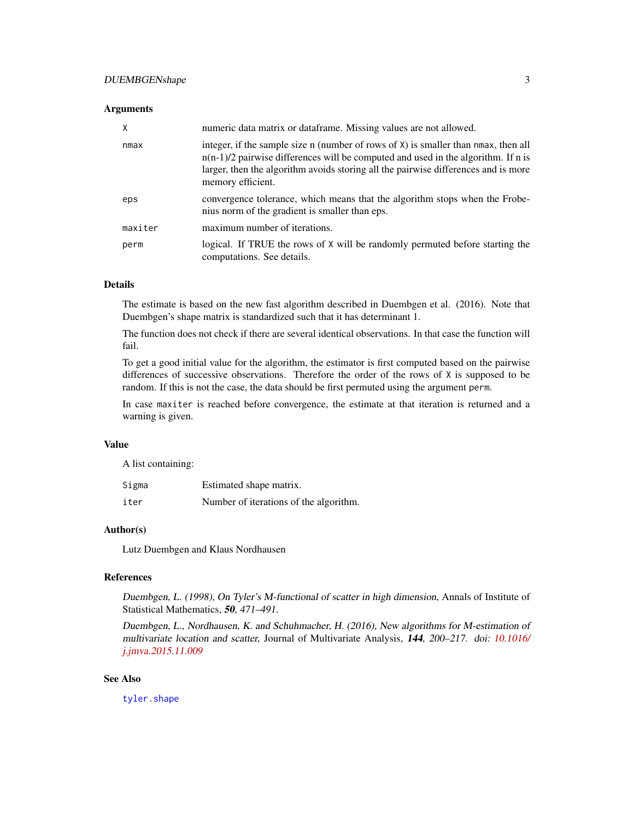#### <span id="page-2-0"></span>Arguments

| X       | numeric data matrix or dataframe. Missing values are not allowed.                                                                                                                                                                                                                       |
|---------|-----------------------------------------------------------------------------------------------------------------------------------------------------------------------------------------------------------------------------------------------------------------------------------------|
| nmax    | integer, if the sample size n (number of rows of $X$ ) is smaller than nmax, then all<br>$n(n-1)/2$ pairwise differences will be computed and used in the algorithm. If n is<br>larger, then the algorithm avoids storing all the pairwise differences and is more<br>memory efficient. |
| eps     | convergence tolerance, which means that the algorithm stops when the Frobe-<br>nius norm of the gradient is smaller than eps.                                                                                                                                                           |
| maxiter | maximum number of iterations.                                                                                                                                                                                                                                                           |
| perm    | logical. If TRUE the rows of $X$ will be randomly permuted before starting the<br>computations. See details.                                                                                                                                                                            |

# Details

The estimate is based on the new fast algorithm described in Duembgen et al. (2016). Note that Duembgen's shape matrix is standardized such that it has determinant 1.

The function does not check if there are several identical observations. In that case the function will fail.

To get a good initial value for the algorithm, the estimator is first computed based on the pairwise differences of successive observations. Therefore the order of the rows of X is supposed to be random. If this is not the case, the data should be first permuted using the argument perm.

In case maxiter is reached before convergence, the estimate at that iteration is returned and a warning is given.

#### Value

A list containing:

| Sigma | Estimated shape matrix.                |
|-------|----------------------------------------|
| iter  | Number of iterations of the algorithm. |

#### Author(s)

Lutz Duembgen and Klaus Nordhausen

# References

Duembgen, L. (1998), On Tyler's M-functional of scatter in high dimension, Annals of Institute of Statistical Mathematics, 50, 471-491.

Duembgen, L., Nordhausen, K. and Schuhmacher, H. (2016), New algorithms for M-estimation of multivariate location and scatter, Journal of Multivariate Analysis, 144, 200–217. doi: [10.1016/](https://doi.org/10.1016/j.jmva.2015.11.009) [j.jmva.2015.11.009](https://doi.org/10.1016/j.jmva.2015.11.009)

#### See Also

[tyler.shape](#page-0-0)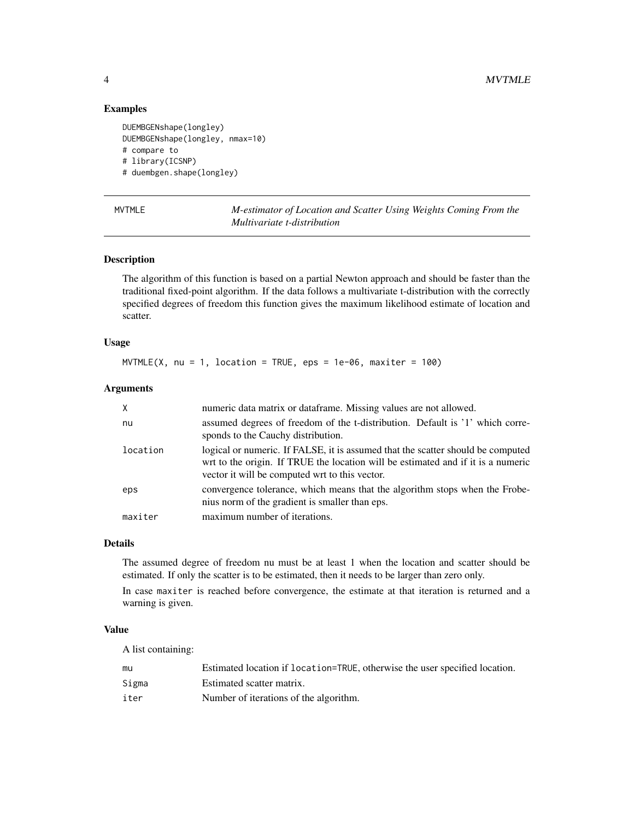# Examples

```
DUEMBGENshape(longley)
DUEMBGENshape(longley, nmax=10)
# compare to
# library(ICSNP)
# duembgen.shape(longley)
```
<span id="page-3-1"></span>

| $\mathbf{I}$ |
|--------------|
|              |

**M-estimator of Location and Scatter Using Weights Coming From the** *Multivariate t-distribution*

# Description

The algorithm of this function is based on a partial Newton approach and should be faster than the traditional fixed-point algorithm. If the data follows a multivariate t-distribution with the correctly specified degrees of freedom this function gives the maximum likelihood estimate of location and scatter.

# Usage

```
MVTMLE(X, nu = 1, location = TRUE, eps = 1e-06, maxiter = 100)
```
# Arguments

| $\mathsf{X}$ | numeric data matrix or dataframe. Missing values are not allowed.                                                                                                                                                     |
|--------------|-----------------------------------------------------------------------------------------------------------------------------------------------------------------------------------------------------------------------|
| nu           | assumed degrees of freedom of the t-distribution. Default is '1' which corre-<br>sponds to the Cauchy distribution.                                                                                                   |
| location     | logical or numeric. If FALSE, it is assumed that the scatter should be computed<br>wrt to the origin. If TRUE the location will be estimated and if it is a numeric<br>vector it will be computed wrt to this vector. |
| eps          | convergence tolerance, which means that the algorithm stops when the Frobe-<br>nius norm of the gradient is smaller than eps.                                                                                         |
| maxiter      | maximum number of iterations.                                                                                                                                                                                         |

#### Details

The assumed degree of freedom nu must be at least 1 when the location and scatter should be estimated. If only the scatter is to be estimated, then it needs to be larger than zero only.

In case maxiter is reached before convergence, the estimate at that iteration is returned and a warning is given.

# Value

A list containing:

| mu    | Estimated location if location=TRUE, otherwise the user specified location. |
|-------|-----------------------------------------------------------------------------|
| Sigma | Estimated scatter matrix.                                                   |
| iter  | Number of iterations of the algorithm.                                      |

<span id="page-3-0"></span>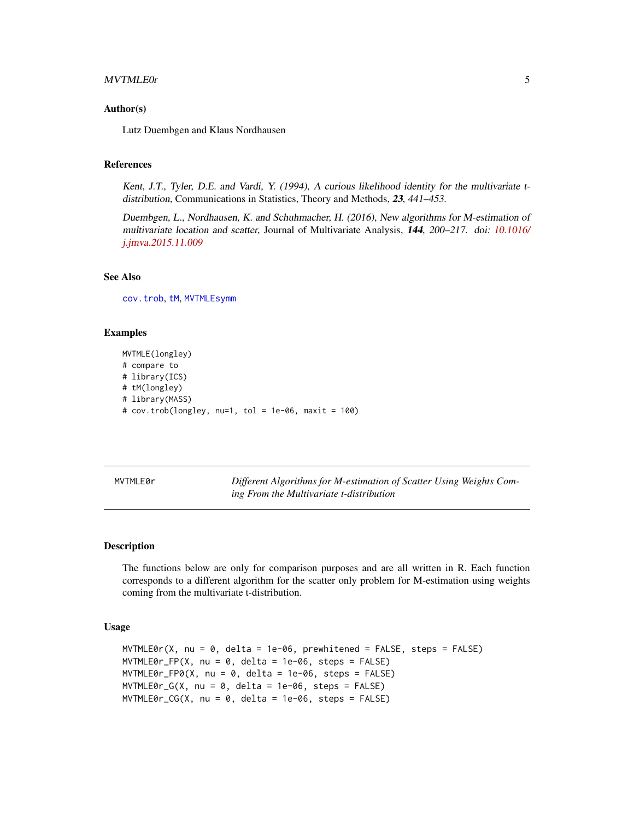#### <span id="page-4-0"></span>MVTMLE0r 5

#### Author(s)

Lutz Duembgen and Klaus Nordhausen

# References

Kent, J.T., Tyler, D.E. and Vardi, Y. (1994), A curious likelihood identity for the multivariate tdistribution, Communications in Statistics, Theory and Methods, 23, 441–453.

Duembgen, L., Nordhausen, K. and Schuhmacher, H. (2016), New algorithms for M-estimation of multivariate location and scatter, Journal of Multivariate Analysis, 144, 200–217. doi: [10.1016/](https://doi.org/10.1016/j.jmva.2015.11.009) [j.jmva.2015.11.009](https://doi.org/10.1016/j.jmva.2015.11.009)

#### See Also

[cov.trob](#page-0-0), [tM](#page-0-0), [MVTMLEsymm](#page-6-1)

#### Examples

```
MVTMLE(longley)
# compare to
# library(ICS)
# tM(longley)
# library(MASS)
# cov.trob(longley, nu=1, tol = 1e-06, maxit = 100)
```
MVTMLE0r *Different Algorithms for M-estimation of Scatter Using Weights Coming From the Multivariate t-distribution*

#### **Description**

The functions below are only for comparison purposes and are all written in R. Each function corresponds to a different algorithm for the scatter only problem for M-estimation using weights coming from the multivariate t-distribution.

#### Usage

```
MVTMLEØr(X, nu = 0, delta = 1e-06, premhitened = FALSE, steps = FALSE)MVTMLEØr_FP(X, nu = 0, delta = 1e-06, steps = FALSE)MVTMLEØr_FPØ(X, nu = 0, delta = 1e-06, steps = FALSE)MVTMLE0r_G(X, nu = 0, delta = 1e-06, steps = FALSE)MVTMLEØr_CGG(X, nu = 0, delta = 1e-06, steps = FALSE)
```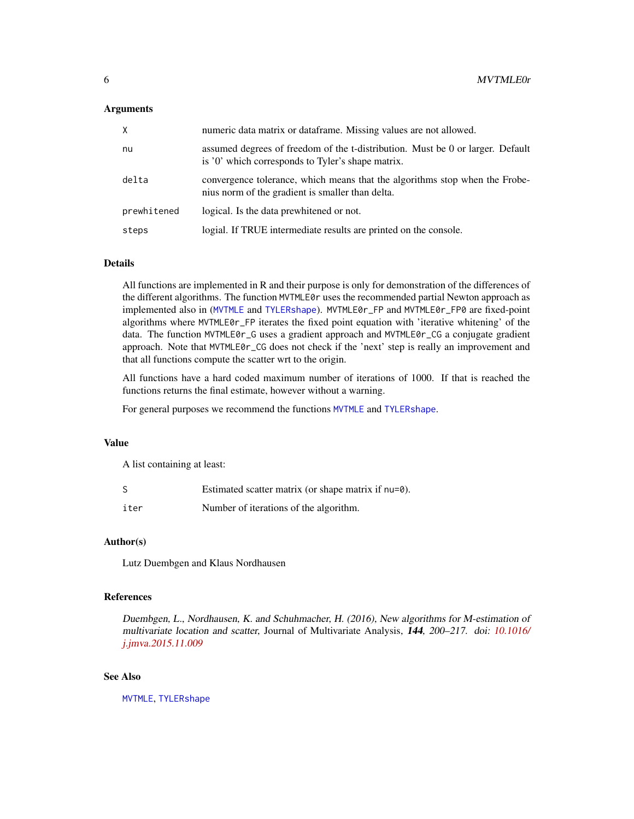#### <span id="page-5-0"></span>Arguments

| X.          | numeric data matrix or dataframe. Missing values are not allowed.                                                                   |
|-------------|-------------------------------------------------------------------------------------------------------------------------------------|
| nu          | assumed degrees of freedom of the t-distribution. Must be 0 or larger. Default<br>is '0' which corresponds to Tyler's shape matrix. |
| delta       | convergence tolerance, which means that the algorithms stop when the Frobe-<br>nius norm of the gradient is smaller than delta.     |
| prewhitened | logical. Is the data prewhitened or not.                                                                                            |
| steps       | logial. If TRUE intermediate results are printed on the console.                                                                    |

### Details

All functions are implemented in R and their purpose is only for demonstration of the differences of the different algorithms. The function MVTMLE0r uses the recommended partial Newton approach as implemented also in ([MVTMLE](#page-3-1) and [TYLERshape](#page-7-1)). MVTMLE0r\_FP and MVTMLE0r\_FP0 are fixed-point algorithms where MVTMLE0r\_FP iterates the fixed point equation with 'iterative whitening' of the data. The function MVTMLE0r\_G uses a gradient approach and MVTMLE0r\_CG a conjugate gradient approach. Note that MVTMLE0r\_CG does not check if the 'next' step is really an improvement and that all functions compute the scatter wrt to the origin.

All functions have a hard coded maximum number of iterations of 1000. If that is reached the functions returns the final estimate, however without a warning.

For general purposes we recommend the functions [MVTMLE](#page-3-1) and [TYLERshape](#page-7-1).

#### Value

A list containing at least:

|      | Estimated scatter matrix (or shape matrix if nu=0). |
|------|-----------------------------------------------------|
| iter | Number of iterations of the algorithm.              |

#### Author(s)

Lutz Duembgen and Klaus Nordhausen

# References

Duembgen, L., Nordhausen, K. and Schuhmacher, H. (2016), New algorithms for M-estimation of multivariate location and scatter, Journal of Multivariate Analysis, 144, 200–217. doi: [10.1016/](https://doi.org/10.1016/j.jmva.2015.11.009) [j.jmva.2015.11.009](https://doi.org/10.1016/j.jmva.2015.11.009)

#### See Also

[MVTMLE](#page-3-1), [TYLERshape](#page-7-1)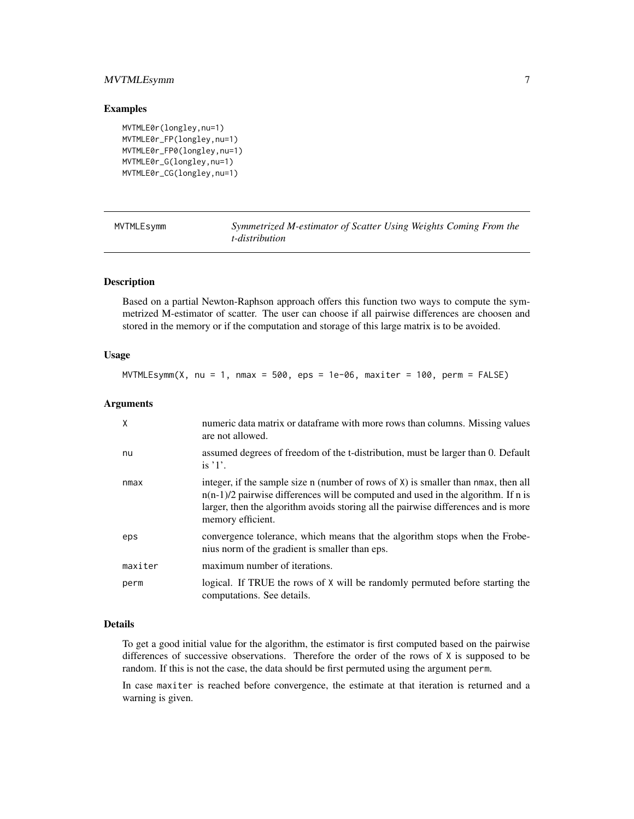# <span id="page-6-0"></span>MVTMLEsymm 7

#### Examples

```
MVTMLE0r(longley,nu=1)
MVTMLE0r_FP(longley,nu=1)
MVTMLE0r_FP0(longley,nu=1)
MVTMLE0r_G(longley,nu=1)
MVTMLE0r_CG(longley,nu=1)
```
<span id="page-6-1"></span>

| MVTMLEsymm | Symmetrized M-estimator of Scatter Using Weights Coming From the |  |  |
|------------|------------------------------------------------------------------|--|--|
|            | t-distribution                                                   |  |  |

## Description

Based on a partial Newton-Raphson approach offers this function two ways to compute the symmetrized M-estimator of scatter. The user can choose if all pairwise differences are choosen and stored in the memory or if the computation and storage of this large matrix is to be avoided.

#### Usage

MVTMLEsymm(X, nu = 1, nmax = 500, eps = 1e-06, maxiter = 100, perm = FALSE)

#### Arguments

| X       | numeric data matrix or dataframe with more rows than columns. Missing values<br>are not allowed.                                                                                                                                                                                        |
|---------|-----------------------------------------------------------------------------------------------------------------------------------------------------------------------------------------------------------------------------------------------------------------------------------------|
| nu      | assumed degrees of freedom of the t-distribution, must be larger than 0. Default<br>is $'1'$ .                                                                                                                                                                                          |
| nmax    | integer, if the sample size n (number of rows of $X$ ) is smaller than nmax, then all<br>$n(n-1)/2$ pairwise differences will be computed and used in the algorithm. If n is<br>larger, then the algorithm avoids storing all the pairwise differences and is more<br>memory efficient. |
| eps     | convergence tolerance, which means that the algorithm stops when the Frobe-<br>nius norm of the gradient is smaller than eps.                                                                                                                                                           |
| maxiter | maximum number of iterations.                                                                                                                                                                                                                                                           |
| perm    | logical. If TRUE the rows of X will be randomly permuted before starting the<br>computations. See details.                                                                                                                                                                              |

#### Details

To get a good initial value for the algorithm, the estimator is first computed based on the pairwise differences of successive observations. Therefore the order of the rows of X is supposed to be random. If this is not the case, the data should be first permuted using the argument perm.

In case maxiter is reached before convergence, the estimate at that iteration is returned and a warning is given.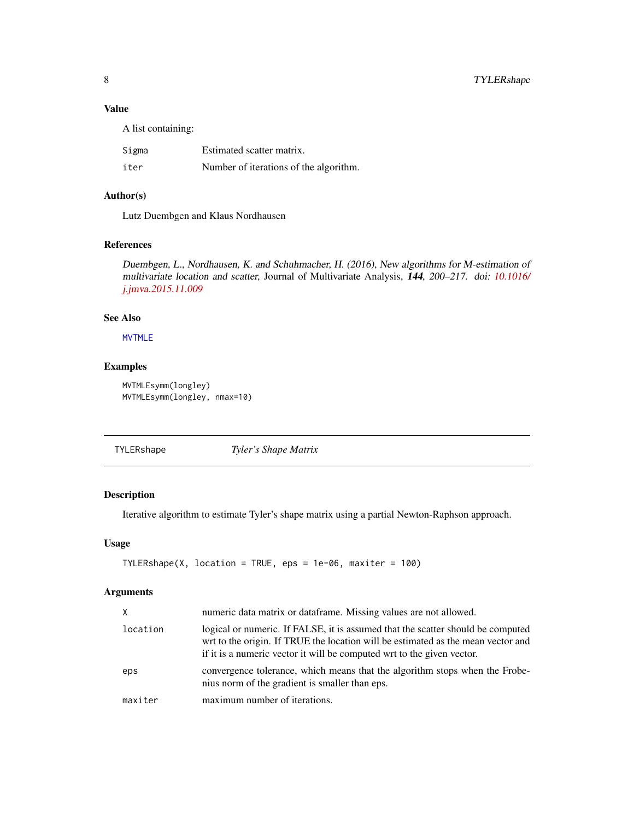# <span id="page-7-0"></span>Value

A list containing:

| Sigma | Estimated scatter matrix.              |
|-------|----------------------------------------|
| iter  | Number of iterations of the algorithm. |

# Author(s)

Lutz Duembgen and Klaus Nordhausen

# References

Duembgen, L., Nordhausen, K. and Schuhmacher, H. (2016), New algorithms for M-estimation of multivariate location and scatter, Journal of Multivariate Analysis, 144, 200–217. doi: [10.1016/](https://doi.org/10.1016/j.jmva.2015.11.009) [j.jmva.2015.11.009](https://doi.org/10.1016/j.jmva.2015.11.009)

# See Also

[MVTMLE](#page-3-1)

# Examples

```
MVTMLEsymm(longley)
MVTMLEsymm(longley, nmax=10)
```
<span id="page-7-1"></span>TYLERshape *Tyler's Shape Matrix*

# Description

Iterative algorithm to estimate Tyler's shape matrix using a partial Newton-Raphson approach.

#### Usage

```
TYLERshape(X, location = TRUE,eps = 1e-06, maxiter = 100)
```
#### Arguments

| X        | numeric data matrix or dataframe. Missing values are not allowed.                                                                                                                                                                             |
|----------|-----------------------------------------------------------------------------------------------------------------------------------------------------------------------------------------------------------------------------------------------|
| location | logical or numeric. If FALSE, it is assumed that the scatter should be computed<br>wrt to the origin. If TRUE the location will be estimated as the mean vector and<br>if it is a numeric vector it will be computed wrt to the given vector. |
| eps      | convergence tolerance, which means that the algorithm stops when the Frobe-<br>nius norm of the gradient is smaller than eps.                                                                                                                 |
| maxiter  | maximum number of iterations.                                                                                                                                                                                                                 |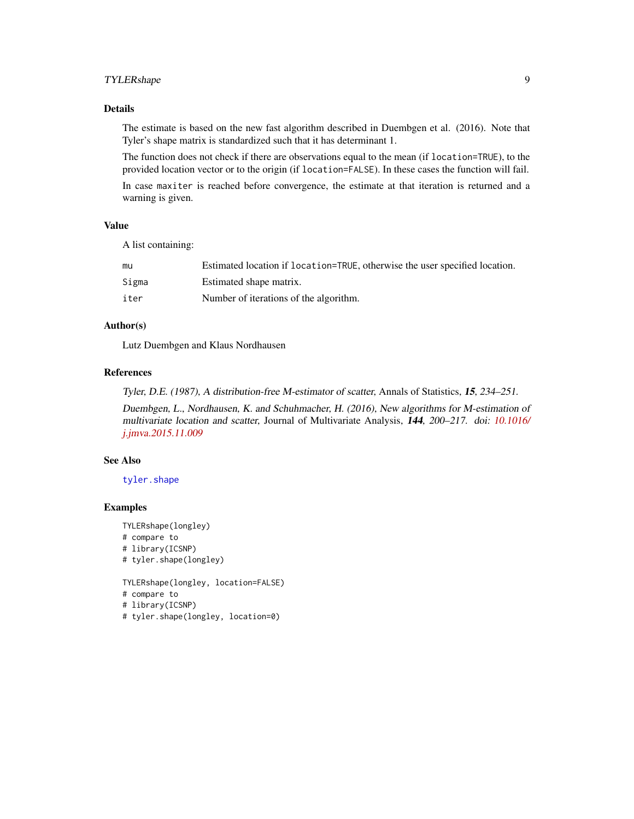# <span id="page-8-0"></span>TYLERshape 9

# Details

The estimate is based on the new fast algorithm described in Duembgen et al. (2016). Note that Tyler's shape matrix is standardized such that it has determinant 1.

The function does not check if there are observations equal to the mean (if location=TRUE), to the provided location vector or to the origin (if location=FALSE). In these cases the function will fail.

In case maxiter is reached before convergence, the estimate at that iteration is returned and a warning is given.

# Value

A list containing:

| mu    | Estimated location if location=TRUE, otherwise the user specified location. |
|-------|-----------------------------------------------------------------------------|
| Sigma | Estimated shape matrix.                                                     |
| iter  | Number of iterations of the algorithm.                                      |

# Author(s)

Lutz Duembgen and Klaus Nordhausen

#### References

Tyler, D.E. (1987), A distribution-free M-estimator of scatter, Annals of Statistics, 15, 234–251.

Duembgen, L., Nordhausen, K. and Schuhmacher, H. (2016), New algorithms for M-estimation of multivariate location and scatter, Journal of Multivariate Analysis, 144, 200–217. doi: [10.1016/](https://doi.org/10.1016/j.jmva.2015.11.009) [j.jmva.2015.11.009](https://doi.org/10.1016/j.jmva.2015.11.009)

#### See Also

[tyler.shape](#page-0-0)

#### Examples

```
TYLERshape(longley)
# compare to
# library(ICSNP)
# tyler.shape(longley)
```
TYLERshape(longley, location=FALSE)

```
# compare to
```

```
# library(ICSNP)
```
# tyler.shape(longley, location=0)